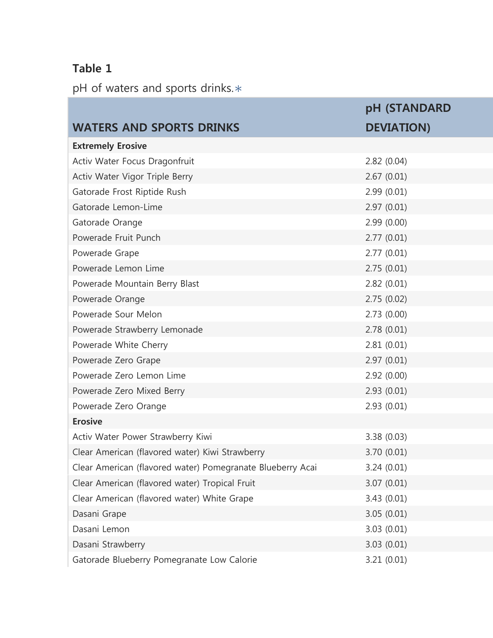### **Table 1**

pH of waters and sports drinks.\*

|                                                            | pH (STANDARD      |
|------------------------------------------------------------|-------------------|
| <b>WATERS AND SPORTS DRINKS</b>                            | <b>DEVIATION)</b> |
| <b>Extremely Erosive</b>                                   |                   |
| Activ Water Focus Dragonfruit                              | 2.82(0.04)        |
| Activ Water Vigor Triple Berry                             | 2.67(0.01)        |
| Gatorade Frost Riptide Rush                                | 2.99(0.01)        |
| Gatorade Lemon-Lime                                        | 2.97(0.01)        |
| Gatorade Orange                                            | 2.99(0.00)        |
| Powerade Fruit Punch                                       | 2.77(0.01)        |
| Powerade Grape                                             | 2.77(0.01)        |
| Powerade Lemon Lime                                        | 2.75(0.01)        |
| Powerade Mountain Berry Blast                              | 2.82(0.01)        |
| Powerade Orange                                            | 2.75(0.02)        |
| Powerade Sour Melon                                        | 2.73(0.00)        |
| Powerade Strawberry Lemonade                               | 2.78(0.01)        |
| Powerade White Cherry                                      | 2.81(0.01)        |
| Powerade Zero Grape                                        | 2.97(0.01)        |
| Powerade Zero Lemon Lime                                   | 2.92(0.00)        |
| Powerade Zero Mixed Berry                                  | 2.93(0.01)        |
| Powerade Zero Orange                                       | 2.93(0.01)        |
| <b>Erosive</b>                                             |                   |
| Activ Water Power Strawberry Kiwi                          | 3.38(0.03)        |
| Clear American (flavored water) Kiwi Strawberry            | 3.70(0.01)        |
| Clear American (flavored water) Pomegranate Blueberry Acai | 3.24(0.01)        |
| Clear American (flavored water) Tropical Fruit             | 3.07(0.01)        |
| Clear American (flavored water) White Grape                | 3.43(0.01)        |
| Dasani Grape                                               | 3.05(0.01)        |
| Dasani Lemon                                               | 3.03(0.01)        |
| Dasani Strawberry                                          | 3.03(0.01)        |
| Gatorade Blueberry Pomegranate Low Calorie                 | 3.21(0.01)        |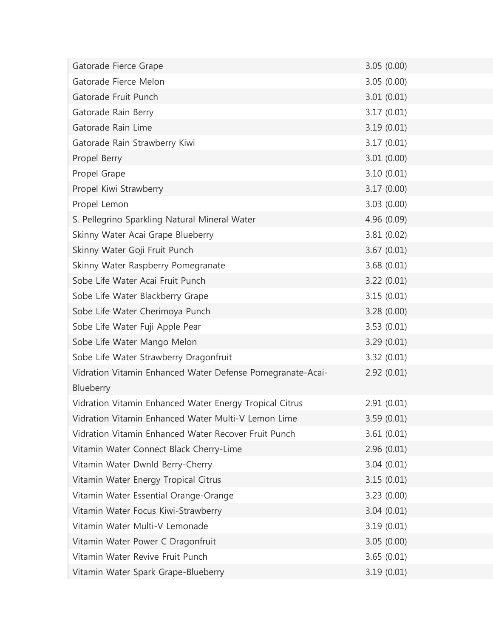| Gatorade Fierce Grape                                      | 3.05(0.00)  |
|------------------------------------------------------------|-------------|
| Gatorade Fierce Melon                                      | 3.05(0.00)  |
| Gatorade Fruit Punch                                       | 3.01(0.01)  |
| Gatorade Rain Berry                                        | 3.17(0.01)  |
| Gatorade Rain Lime                                         | 3.19(0.01)  |
| Gatorade Rain Strawberry Kiwi                              | 3.17(0.01)  |
| Propel Berry                                               | 3.01(0.00)  |
| Propel Grape                                               | 3.10(0.01)  |
| Propel Kiwi Strawberry                                     | 3.17(0.00)  |
| Propel Lemon                                               | 3.03(0.00)  |
| S. Pellegrino Sparkling Natural Mineral Water              | 4.96 (0.09) |
| Skinny Water Acai Grape Blueberry                          | 3.81(0.02)  |
| Skinny Water Goji Fruit Punch                              | 3.67(0.01)  |
| Skinny Water Raspberry Pomegranate                         | 3.68(0.01)  |
| Sobe Life Water Acai Fruit Punch                           | 3.22(0.01)  |
| Sobe Life Water Blackberry Grape                           | 3.15(0.01)  |
| Sobe Life Water Cherimoya Punch                            | 3.28(0.00)  |
| Sobe Life Water Fuji Apple Pear                            | 3.53(0.01)  |
| Sobe Life Water Mango Melon                                | 3.29(0.01)  |
| Sobe Life Water Strawberry Dragonfruit                     | 3.32(0.01)  |
| Vidration Vitamin Enhanced Water Defense Pomegranate-Acai- | 2.92(0.01)  |
| Blueberry                                                  |             |
| Vidration Vitamin Enhanced Water Energy Tropical Citrus    | 2.91(0.01)  |
| Vidration Vitamin Enhanced Water Multi-V Lemon Lime        | 3.59(0.01)  |
| Vidration Vitamin Enhanced Water Recover Fruit Punch       | 3.61(0.01)  |
| Vitamin Water Connect Black Cherry-Lime                    | 2.96(0.01)  |
| Vitamin Water Dwnld Berry-Cherry                           | 3.04(0.01)  |
| Vitamin Water Energy Tropical Citrus                       | 3.15(0.01)  |
| Vitamin Water Essential Orange-Orange                      | 3.23(0.00)  |
| Vitamin Water Focus Kiwi-Strawberry                        | 3.04(0.01)  |
| Vitamin Water Multi-V Lemonade                             | 3.19(0.01)  |
| Vitamin Water Power C Dragonfruit                          | 3.05(0.00)  |
| Vitamin Water Revive Fruit Punch                           | 3.65(0.01)  |
| Vitamin Water Spark Grape-Blueberry                        | 3.19(0.01)  |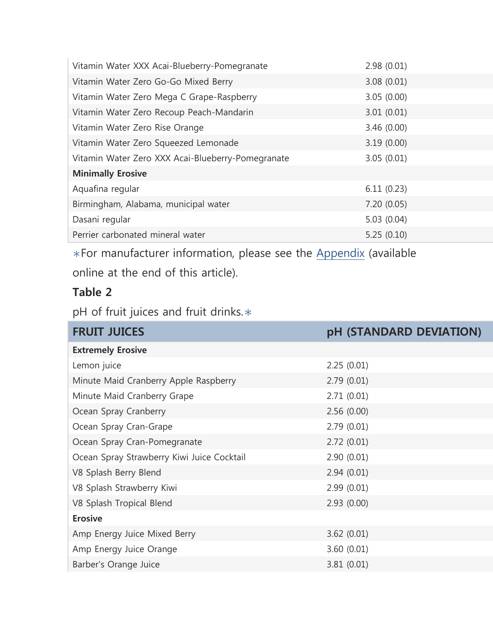| Vitamin Water XXX Acai-Blueberry-Pomegranate      | 2.98(0.01) |
|---------------------------------------------------|------------|
| Vitamin Water Zero Go-Go Mixed Berry              | 3.08(0.01) |
| Vitamin Water Zero Mega C Grape-Raspberry         | 3.05(0.00) |
| Vitamin Water Zero Recoup Peach-Mandarin          | 3.01(0.01) |
| Vitamin Water Zero Rise Orange                    | 3.46(0.00) |
| Vitamin Water Zero Squeezed Lemonade              | 3.19(0.00) |
| Vitamin Water Zero XXX Acai-Blueberry-Pomegranate | 3.05(0.01) |
| <b>Minimally Erosive</b>                          |            |
| Aquafina regular                                  | 6.11(0.23) |
| Birmingham, Alabama, municipal water              | 7.20(0.05) |
| Dasani regular                                    | 5.03(0.04) |
| Perrier carbonated mineral water                  | 5.25(0.10) |

∗For manufacturer information, please see the Appendix (available online at the end of this article).

#### **Table 2**

pH of fruit juices and fruit drinks.∗

| <b>FRUIT JUICES</b>                        | pH (STANDARD DEVIATION) |
|--------------------------------------------|-------------------------|
| <b>Extremely Erosive</b>                   |                         |
| Lemon juice                                | 2.25(0.01)              |
| Minute Maid Cranberry Apple Raspberry      | 2.79(0.01)              |
| Minute Maid Cranberry Grape                | 2.71(0.01)              |
| Ocean Spray Cranberry                      | 2.56(0.00)              |
| Ocean Spray Cran-Grape                     | 2.79(0.01)              |
| Ocean Spray Cran-Pomegranate               | 2.72(0.01)              |
| Ocean Spray Strawberry Kiwi Juice Cocktail | 2.90(0.01)              |
| V8 Splash Berry Blend                      | 2.94(0.01)              |
| V8 Splash Strawberry Kiwi                  | 2.99(0.01)              |
| V8 Splash Tropical Blend                   | 2.93(0.00)              |
| <b>Erosive</b>                             |                         |
| Amp Energy Juice Mixed Berry               | 3.62(0.01)              |
| Amp Energy Juice Orange                    | 3.60(0.01)              |
| Barber's Orange Juice                      | 3.81(0.01)              |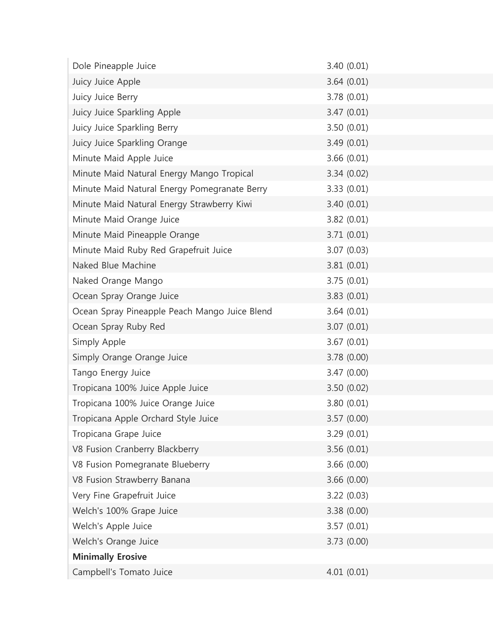| Dole Pineapple Juice                          | 3.40(0.01)  |
|-----------------------------------------------|-------------|
| Juicy Juice Apple                             | 3.64(0.01)  |
| Juicy Juice Berry                             | 3.78(0.01)  |
| Juicy Juice Sparkling Apple                   | 3.47(0.01)  |
| Juicy Juice Sparkling Berry                   | 3.50(0.01)  |
| Juicy Juice Sparkling Orange                  | 3.49(0.01)  |
| Minute Maid Apple Juice                       | 3.66(0.01)  |
| Minute Maid Natural Energy Mango Tropical     | 3.34(0.02)  |
| Minute Maid Natural Energy Pomegranate Berry  | 3.33(0.01)  |
| Minute Maid Natural Energy Strawberry Kiwi    | 3.40(0.01)  |
| Minute Maid Orange Juice                      | 3.82(0.01)  |
| Minute Maid Pineapple Orange                  | 3.71(0.01)  |
| Minute Maid Ruby Red Grapefruit Juice         | 3.07(0.03)  |
| Naked Blue Machine                            | 3.81(0.01)  |
| Naked Orange Mango                            | 3.75(0.01)  |
| Ocean Spray Orange Juice                      | 3.83(0.01)  |
| Ocean Spray Pineapple Peach Mango Juice Blend | 3.64(0.01)  |
| Ocean Spray Ruby Red                          | 3.07(0.01)  |
| Simply Apple                                  | 3.67(0.01)  |
| Simply Orange Orange Juice                    | 3.78 (0.00) |
| Tango Energy Juice                            | 3.47(0.00)  |
| Tropicana 100% Juice Apple Juice              | 3.50(0.02)  |
| Tropicana 100% Juice Orange Juice             | 3.80(0.01)  |
| Tropicana Apple Orchard Style Juice           | 3.57(0.00)  |
| Tropicana Grape Juice                         | 3.29(0.01)  |
| V8 Fusion Cranberry Blackberry                | 3.56(0.01)  |
| V8 Fusion Pomegranate Blueberry               | 3.66(0.00)  |
| V8 Fusion Strawberry Banana                   | 3.66(0.00)  |
| Very Fine Grapefruit Juice                    | 3.22(0.03)  |
| Welch's 100% Grape Juice                      | 3.38(0.00)  |
| Welch's Apple Juice                           | 3.57(0.01)  |
| Welch's Orange Juice                          | 3.73(0.00)  |
| <b>Minimally Erosive</b>                      |             |
| Campbell's Tomato Juice                       | 4.01(0.01)  |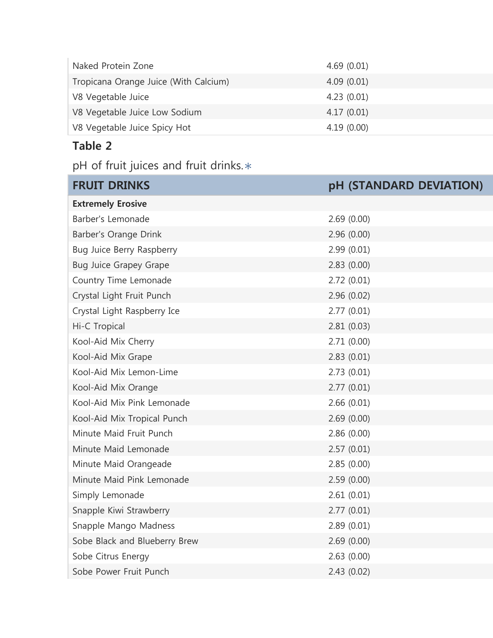| Naked Protein Zone                    | 4.69(0.01) |
|---------------------------------------|------------|
| Tropicana Orange Juice (With Calcium) | 4.09(0.01) |
| V8 Vegetable Juice                    | 4.23(0.01) |
| V8 Vegetable Juice Low Sodium         | 4.17(0.01) |
| V8 Vegetable Juice Spicy Hot          | 4.19(0.00) |

## **Table 2**

pH of fruit juices and fruit drinks.∗

| <b>FRUIT DRINKS</b>           | pH (STANDARD DEVIATION) |
|-------------------------------|-------------------------|
| <b>Extremely Erosive</b>      |                         |
| Barber's Lemonade             | 2.69(0.00)              |
| Barber's Orange Drink         | 2.96(0.00)              |
| Bug Juice Berry Raspberry     | 2.99(0.01)              |
| <b>Bug Juice Grapey Grape</b> | 2.83(0.00)              |
| Country Time Lemonade         | 2.72(0.01)              |
| Crystal Light Fruit Punch     | 2.96(0.02)              |
| Crystal Light Raspberry Ice   | 2.77(0.01)              |
| Hi-C Tropical                 | 2.81(0.03)              |
| Kool-Aid Mix Cherry           | 2.71(0.00)              |
| Kool-Aid Mix Grape            | 2.83(0.01)              |
| Kool-Aid Mix Lemon-Lime       | 2.73(0.01)              |
| Kool-Aid Mix Orange           | 2.77(0.01)              |
| Kool-Aid Mix Pink Lemonade    | 2.66(0.01)              |
| Kool-Aid Mix Tropical Punch   | 2.69(0.00)              |
| Minute Maid Fruit Punch       | 2.86(0.00)              |
| Minute Maid Lemonade          | 2.57(0.01)              |
| Minute Maid Orangeade         | 2.85(0.00)              |
| Minute Maid Pink Lemonade     | 2.59(0.00)              |
| Simply Lemonade               | 2.61(0.01)              |
| Snapple Kiwi Strawberry       | 2.77(0.01)              |
| Snapple Mango Madness         | 2.89(0.01)              |
| Sobe Black and Blueberry Brew | 2.69(0.00)              |
| Sobe Citrus Energy            | 2.63(0.00)              |
| Sobe Power Fruit Punch        | 2.43 (0.02)             |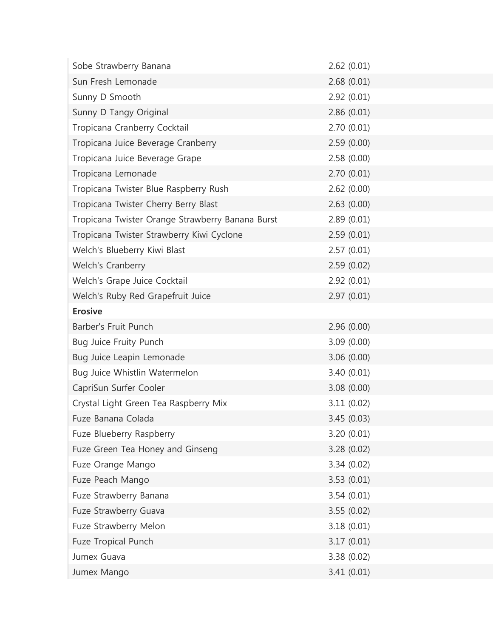| Sobe Strawberry Banana                           | 2.62(0.01)  |
|--------------------------------------------------|-------------|
| Sun Fresh Lemonade                               | 2.68(0.01)  |
| Sunny D Smooth                                   | 2.92(0.01)  |
| Sunny D Tangy Original                           | 2.86(0.01)  |
| Tropicana Cranberry Cocktail                     | 2.70(0.01)  |
| Tropicana Juice Beverage Cranberry               | 2.59(0.00)  |
| Tropicana Juice Beverage Grape                   | 2.58(0.00)  |
| Tropicana Lemonade                               | 2.70(0.01)  |
| Tropicana Twister Blue Raspberry Rush            | 2.62(0.00)  |
| Tropicana Twister Cherry Berry Blast             | 2.63(0.00)  |
| Tropicana Twister Orange Strawberry Banana Burst | 2.89(0.01)  |
| Tropicana Twister Strawberry Kiwi Cyclone        | 2.59(0.01)  |
| Welch's Blueberry Kiwi Blast                     | 2.57(0.01)  |
| Welch's Cranberry                                | 2.59(0.02)  |
| Welch's Grape Juice Cocktail                     | 2.92(0.01)  |
| Welch's Ruby Red Grapefruit Juice                | 2.97(0.01)  |
| <b>Erosive</b>                                   |             |
| Barber's Fruit Punch                             | 2.96(0.00)  |
| Bug Juice Fruity Punch                           | 3.09(0.00)  |
| Bug Juice Leapin Lemonade                        | 3.06(0.00)  |
| Bug Juice Whistlin Watermelon                    | 3.40(0.01)  |
| CapriSun Surfer Cooler                           | 3.08 (0.00) |
| Crystal Light Green Tea Raspberry Mix            | 3.11(0.02)  |
| Fuze Banana Colada                               | 3.45(0.03)  |
| Fuze Blueberry Raspberry                         | 3.20(0.01)  |
| Fuze Green Tea Honey and Ginseng                 | 3.28(0.02)  |
| Fuze Orange Mango                                | 3.34(0.02)  |
| Fuze Peach Mango                                 | 3.53(0.01)  |
| Fuze Strawberry Banana                           | 3.54(0.01)  |
| Fuze Strawberry Guava                            | 3.55(0.02)  |
| Fuze Strawberry Melon                            | 3.18(0.01)  |
| Fuze Tropical Punch                              | 3.17(0.01)  |
| Jumex Guava                                      | 3.38(0.02)  |
| Jumex Mango                                      | 3.41(0.01)  |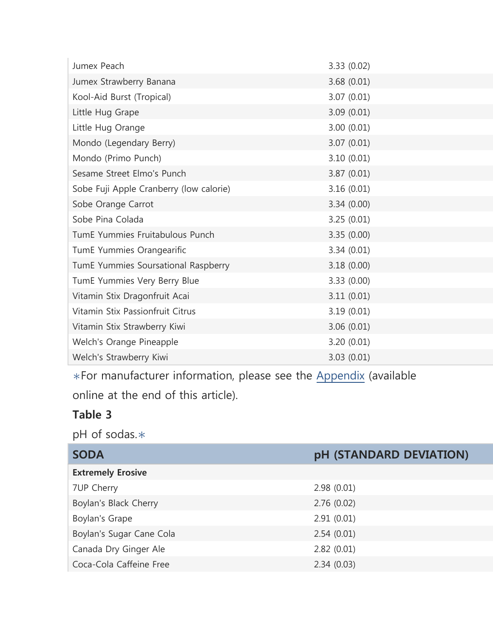| Jumex Peach                             | 3.33 (0.02) |
|-----------------------------------------|-------------|
| Jumex Strawberry Banana                 | 3.68(0.01)  |
| Kool-Aid Burst (Tropical)               | 3.07(0.01)  |
| Little Hug Grape                        | 3.09(0.01)  |
| Little Hug Orange                       | 3.00(0.01)  |
| Mondo (Legendary Berry)                 | 3.07(0.01)  |
| Mondo (Primo Punch)                     | 3.10(0.01)  |
| Sesame Street Elmo's Punch              | 3.87(0.01)  |
| Sobe Fuji Apple Cranberry (low calorie) | 3.16(0.01)  |
| Sobe Orange Carrot                      | 3.34(0.00)  |
| Sobe Pina Colada                        | 3.25(0.01)  |
| TumE Yummies Fruitabulous Punch         | 3.35(0.00)  |
| TumE Yummies Orangearific               | 3.34(0.01)  |
| TumE Yummies Soursational Raspberry     | 3.18(0.00)  |
| TumE Yummies Very Berry Blue            | 3.33(0.00)  |
| Vitamin Stix Dragonfruit Acai           | 3.11(0.01)  |
| Vitamin Stix Passionfruit Citrus        | 3.19(0.01)  |
| Vitamin Stix Strawberry Kiwi            | 3.06(0.01)  |
| Welch's Orange Pineapple                | 3.20(0.01)  |
| Welch's Strawberry Kiwi                 | 3.03(0.01)  |

∗For manufacturer information, please see the Appendix (available online at the end of this article).

#### **Table 3**

pH of sodas.∗

| <b>SODA</b>              | pH (STANDARD DEVIATION) |
|--------------------------|-------------------------|
| <b>Extremely Erosive</b> |                         |
| 7UP Cherry               | 2.98(0.01)              |
| Boylan's Black Cherry    | 2.76(0.02)              |
| Boylan's Grape           | 2.91(0.01)              |
| Boylan's Sugar Cane Cola | 2.54(0.01)              |
| Canada Dry Ginger Ale    | 2.82(0.01)              |
| Coca-Cola Caffeine Free  | 2.34(0.03)              |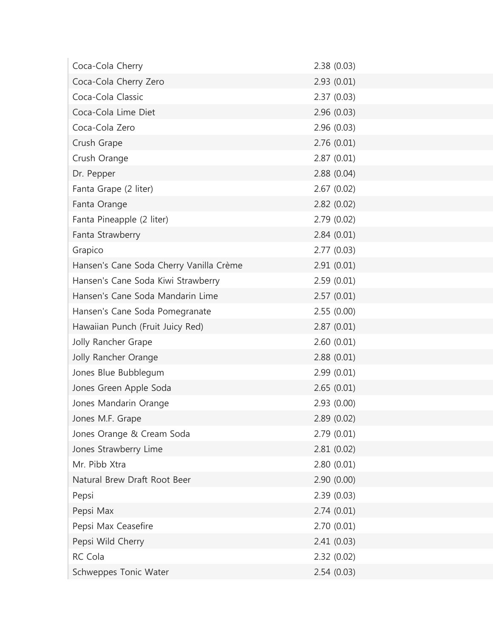| Coca-Cola Cherry                        | 2.38(0.03)  |
|-----------------------------------------|-------------|
| Coca-Cola Cherry Zero                   | 2.93(0.01)  |
| Coca-Cola Classic                       | 2.37(0.03)  |
| Coca-Cola Lime Diet                     | 2.96(0.03)  |
| Coca-Cola Zero                          | 2.96 (0.03) |
| Crush Grape                             | 2.76(0.01)  |
| Crush Orange                            | 2.87(0.01)  |
| Dr. Pepper                              | 2.88(0.04)  |
| Fanta Grape (2 liter)                   | 2.67(0.02)  |
| Fanta Orange                            | 2.82(0.02)  |
| Fanta Pineapple (2 liter)               | 2.79(0.02)  |
| Fanta Strawberry                        | 2.84(0.01)  |
| Grapico                                 | 2.77(0.03)  |
| Hansen's Cane Soda Cherry Vanilla Crème | 2.91(0.01)  |
| Hansen's Cane Soda Kiwi Strawberry      | 2.59(0.01)  |
| Hansen's Cane Soda Mandarin Lime        | 2.57(0.01)  |
| Hansen's Cane Soda Pomegranate          | 2.55(0.00)  |
| Hawaiian Punch (Fruit Juicy Red)        | 2.87(0.01)  |
| Jolly Rancher Grape                     | 2.60(0.01)  |
| Jolly Rancher Orange                    | 2.88(0.01)  |
| Jones Blue Bubblegum                    | 2.99(0.01)  |
| Jones Green Apple Soda                  | 2.65(0.01)  |
| Jones Mandarin Orange                   | 2.93(0.00)  |
| Jones M.F. Grape                        | 2.89(0.02)  |
| Jones Orange & Cream Soda               | 2.79(0.01)  |
| Jones Strawberry Lime                   | 2.81(0.02)  |
| Mr. Pibb Xtra                           | 2.80(0.01)  |
| Natural Brew Draft Root Beer            | 2.90(0.00)  |
| Pepsi                                   | 2.39(0.03)  |
| Pepsi Max                               | 2.74(0.01)  |
| Pepsi Max Ceasefire                     | 2.70(0.01)  |
| Pepsi Wild Cherry                       | 2.41(0.03)  |
| RC Cola                                 | 2.32(0.02)  |
| Schweppes Tonic Water                   | 2.54(0.03)  |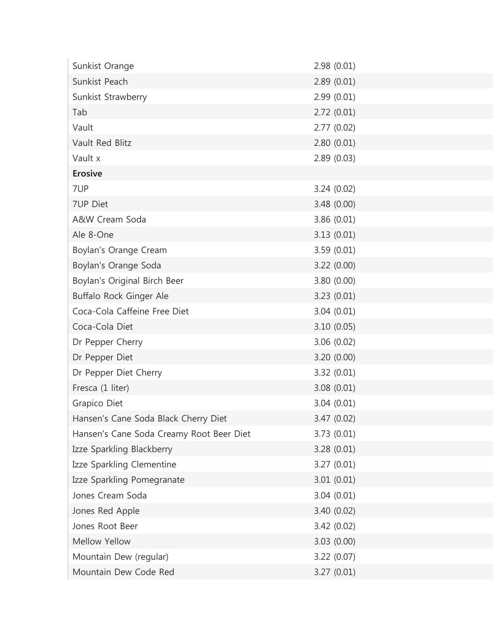| Sunkist Orange                           | 2.98(0.01)  |
|------------------------------------------|-------------|
| Sunkist Peach                            | 2.89(0.01)  |
| Sunkist Strawberry                       | 2.99(0.01)  |
| Tab                                      | 2.72(0.01)  |
| Vault                                    | 2.77(0.02)  |
| Vault Red Blitz                          | 2.80(0.01)  |
| Vault x                                  | 2.89(0.03)  |
| <b>Erosive</b>                           |             |
| 7UP                                      | 3.24(0.02)  |
| 7UP Diet                                 | 3.48 (0.00) |
| A&W Cream Soda                           | 3.86 (0.01) |
| Ale 8-One                                | 3.13(0.01)  |
| Boylan's Orange Cream                    | 3.59(0.01)  |
| Boylan's Orange Soda                     | 3.22 (0.00) |
| Boylan's Original Birch Beer             | 3.80 (0.00) |
| Buffalo Rock Ginger Ale                  | 3.23(0.01)  |
| Coca-Cola Caffeine Free Diet             | 3.04(0.01)  |
| Coca-Cola Diet                           | 3.10(0.05)  |
| Dr Pepper Cherry                         | 3.06(0.02)  |
| Dr Pepper Diet                           | 3.20 (0.00) |
| Dr Pepper Diet Cherry                    | 3.32(0.01)  |
| Fresca (1 liter)                         | 3.08(0.01)  |
| Grapico Diet                             | 3.04(0.01)  |
| Hansen's Cane Soda Black Cherry Diet     | 3.47 (0.02) |
| Hansen's Cane Soda Creamy Root Beer Diet | 3.73(0.01)  |
| Izze Sparkling Blackberry                | 3.28(0.01)  |
| Izze Sparkling Clementine                | 3.27(0.01)  |
| Izze Sparkling Pomegranate               | 3.01(0.01)  |
| Jones Cream Soda                         | 3.04(0.01)  |
| Jones Red Apple                          | 3.40 (0.02) |
| Jones Root Beer                          | 3.42(0.02)  |
| Mellow Yellow                            | 3.03(0.00)  |
| Mountain Dew (regular)                   | 3.22(0.07)  |
| Mountain Dew Code Red                    | 3.27(0.01)  |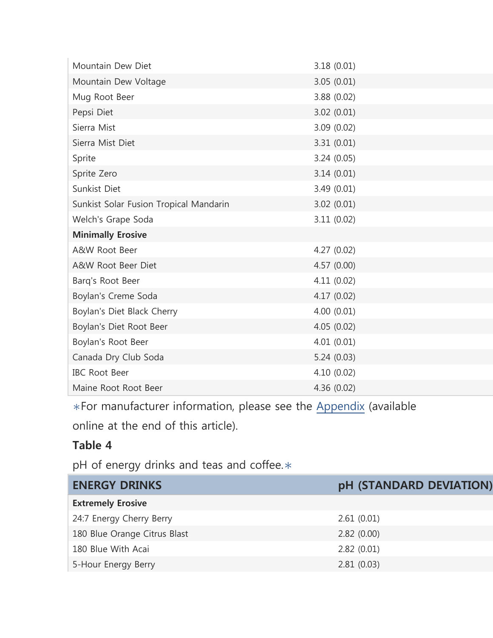| Mountain Dew Diet                      | 3.18(0.01)  |
|----------------------------------------|-------------|
| Mountain Dew Voltage                   | 3.05(0.01)  |
| Mug Root Beer                          | 3.88(0.02)  |
| Pepsi Diet                             | 3.02(0.01)  |
| Sierra Mist                            | 3.09(0.02)  |
| Sierra Mist Diet                       | 3.31(0.01)  |
| Sprite                                 | 3.24(0.05)  |
| Sprite Zero                            | 3.14(0.01)  |
| Sunkist Diet                           | 3.49 (0.01) |
| Sunkist Solar Fusion Tropical Mandarin | 3.02(0.01)  |
| Welch's Grape Soda                     | 3.11(0.02)  |
| <b>Minimally Erosive</b>               |             |
| A&W Root Beer                          | 4.27 (0.02) |
| A&W Root Beer Diet                     | 4.57 (0.00) |
| Barq's Root Beer                       | 4.11(0.02)  |
| Boylan's Creme Soda                    | 4.17(0.02)  |
| Boylan's Diet Black Cherry             | 4.00(0.01)  |
| Boylan's Diet Root Beer                | 4.05 (0.02) |
| Boylan's Root Beer                     | 4.01(0.01)  |
| Canada Dry Club Soda                   | 5.24(0.03)  |
| <b>IBC Root Beer</b>                   | 4.10 (0.02) |
| Maine Root Root Beer                   | 4.36 (0.02) |

∗For manufacturer information, please see the Appendix (available

online at the end of this article).

#### **Table 4**

pH of energy drinks and teas and coffee.<sup>\*</sup>

| <b>ENERGY DRINKS</b>         | pH (STANDARD DEVIATION) |
|------------------------------|-------------------------|
| <b>Extremely Erosive</b>     |                         |
| 24:7 Energy Cherry Berry     | 2.61(0.01)              |
| 180 Blue Orange Citrus Blast | 2.82(0.00)              |
| 180 Blue With Acai           | 2.82(0.01)              |
| 5-Hour Energy Berry          | 2.81(0.03)              |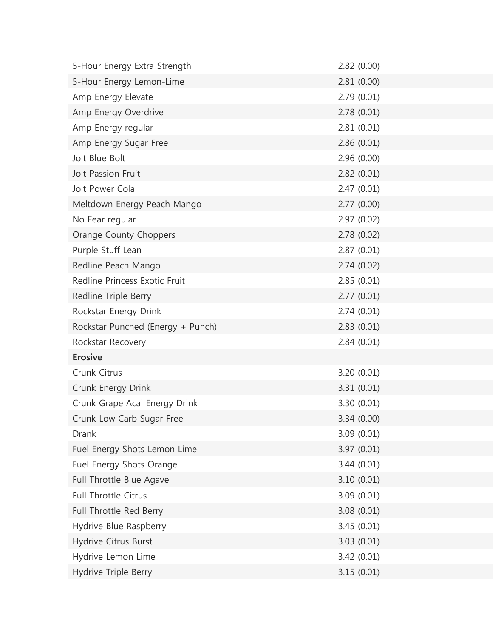| 5-Hour Energy Extra Strength      | 2.82(0.00)  |
|-----------------------------------|-------------|
| 5-Hour Energy Lemon-Lime          | 2.81(0.00)  |
| Amp Energy Elevate                | 2.79(0.01)  |
| Amp Energy Overdrive              | 2.78(0.01)  |
| Amp Energy regular                | 2.81(0.01)  |
| Amp Energy Sugar Free             | 2.86(0.01)  |
| Jolt Blue Bolt                    | 2.96(0.00)  |
| Jolt Passion Fruit                | 2.82(0.01)  |
| Jolt Power Cola                   | 2.47(0.01)  |
| Meltdown Energy Peach Mango       | 2.77(0.00)  |
| No Fear regular                   | 2.97(0.02)  |
| <b>Orange County Choppers</b>     | 2.78(0.02)  |
| Purple Stuff Lean                 | 2.87(0.01)  |
| Redline Peach Mango               | 2.74(0.02)  |
| Redline Princess Exotic Fruit     | 2.85(0.01)  |
| Redline Triple Berry              | 2.77(0.01)  |
| Rockstar Energy Drink             | 2.74(0.01)  |
| Rockstar Punched (Energy + Punch) | 2.83(0.01)  |
| Rockstar Recovery                 | 2.84(0.01)  |
| <b>Erosive</b>                    |             |
| Crunk Citrus                      | 3.20(0.01)  |
| Crunk Energy Drink                | 3.31(0.01)  |
| Crunk Grape Acai Energy Drink     | 3.30 (0.01) |
| Crunk Low Carb Sugar Free         | 3.34(0.00)  |
| <b>Drank</b>                      | 3.09(0.01)  |
| Fuel Energy Shots Lemon Lime      | 3.97 (0.01) |
| Fuel Energy Shots Orange          | 3.44(0.01)  |
| Full Throttle Blue Agave          | 3.10(0.01)  |
| Full Throttle Citrus              | 3.09(0.01)  |
| Full Throttle Red Berry           | 3.08(0.01)  |
| Hydrive Blue Raspberry            | 3.45(0.01)  |
| Hydrive Citrus Burst              | 3.03(0.01)  |
| Hydrive Lemon Lime                | 3.42(0.01)  |
| Hydrive Triple Berry              | 3.15(0.01)  |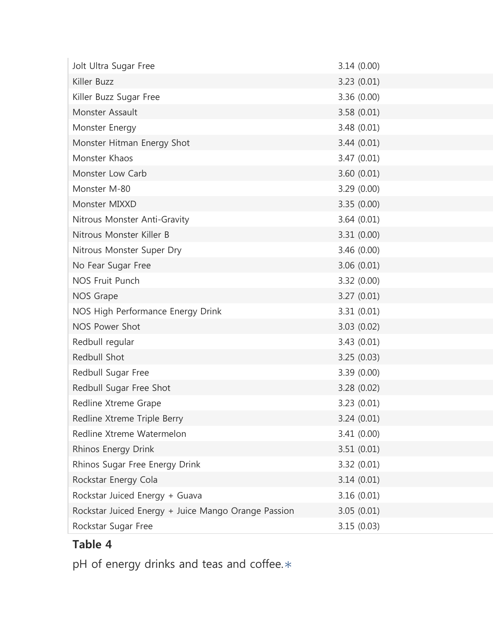| Jolt Ultra Sugar Free                               | 3.14(0.00)  |
|-----------------------------------------------------|-------------|
| Killer Buzz                                         | 3.23(0.01)  |
| Killer Buzz Sugar Free                              | 3.36(0.00)  |
| Monster Assault                                     | 3.58(0.01)  |
| Monster Energy                                      | 3.48(0.01)  |
| Monster Hitman Energy Shot                          | 3.44(0.01)  |
| Monster Khaos                                       | 3.47(0.01)  |
| Monster Low Carb                                    | 3.60(0.01)  |
| Monster M-80                                        | 3.29(0.00)  |
| Monster MIXXD                                       | 3.35(0.00)  |
| Nitrous Monster Anti-Gravity                        | 3.64(0.01)  |
| Nitrous Monster Killer B                            | 3.31(0.00)  |
| Nitrous Monster Super Dry                           | 3.46(0.00)  |
| No Fear Sugar Free                                  | 3.06(0.01)  |
| <b>NOS Fruit Punch</b>                              | 3.32(0.00)  |
| NOS Grape                                           | 3.27(0.01)  |
| NOS High Performance Energy Drink                   | 3.31(0.01)  |
| NOS Power Shot                                      | 3.03(0.02)  |
| Redbull regular                                     | 3.43(0.01)  |
| Redbull Shot                                        | 3.25(0.03)  |
| Redbull Sugar Free                                  | 3.39(0.00)  |
| Redbull Sugar Free Shot                             | 3.28(0.02)  |
| Redline Xtreme Grape                                | 3.23(0.01)  |
| Redline Xtreme Triple Berry                         | 3.24 (0.01) |
| Redline Xtreme Watermelon                           | 3.41(0.00)  |
| Rhinos Energy Drink                                 | 3.51(0.01)  |
| Rhinos Sugar Free Energy Drink                      | 3.32(0.01)  |
| Rockstar Energy Cola                                | 3.14(0.01)  |
| Rockstar Juiced Energy + Guava                      | 3.16(0.01)  |
| Rockstar Juiced Energy + Juice Mango Orange Passion | 3.05(0.01)  |
| Rockstar Sugar Free                                 | 3.15(0.03)  |

# **Table 4**

pH of energy drinks and teas and coffee.∗